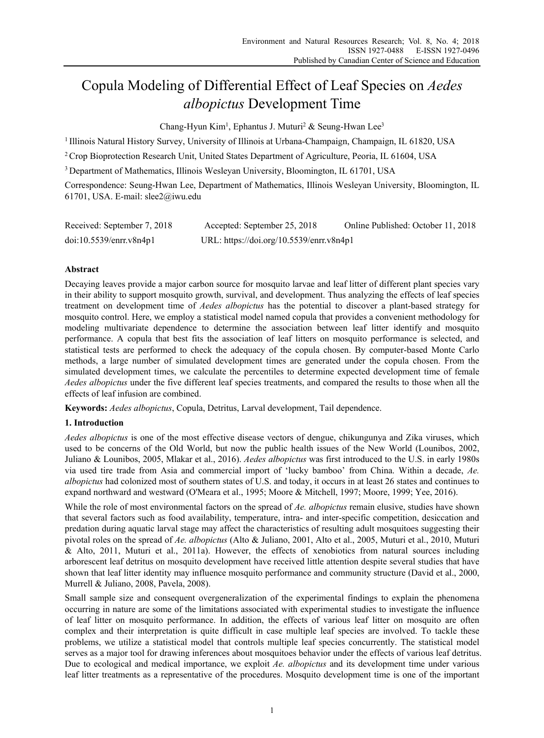# Copula Modeling of Differential Effect of Leaf Species on *Aedes albopictus* Development Time

Chang-Hyun Kim<sup>1</sup>, Ephantus J. Muturi<sup>2</sup> & Seung-Hwan Lee<sup>3</sup>

1 Illinois Natural History Survey, University of Illinois at Urbana-Champaign, Champaign, IL 61820, USA

<sup>2</sup> Crop Bioprotection Research Unit, United States Department of Agriculture, Peoria, IL 61604, USA

3 Department of Mathematics, Illinois Wesleyan University, Bloomington, IL 61701, USA

Correspondence: Seung-Hwan Lee, Department of Mathematics, Illinois Wesleyan University, Bloomington, IL 61701, USA. E-mail: slee2@iwu.edu

| Received: September 7, 2018 | Accepted: September 25, 2018             | Online Published: October 11, 2018 |
|-----------------------------|------------------------------------------|------------------------------------|
| doi:10.5539/enrr.v8n4p1     | URL: https://doi.org/10.5539/enrr.v8n4p1 |                                    |

## **Abstract**

Decaying leaves provide a major carbon source for mosquito larvae and leaf litter of different plant species vary in their ability to support mosquito growth, survival, and development. Thus analyzing the effects of leaf species treatment on development time of *Aedes albopictus* has the potential to discover a plant-based strategy for mosquito control. Here, we employ a statistical model named copula that provides a convenient methodology for modeling multivariate dependence to determine the association between leaf litter identify and mosquito performance. A copula that best fits the association of leaf litters on mosquito performance is selected, and statistical tests are performed to check the adequacy of the copula chosen. By computer-based Monte Carlo methods, a large number of simulated development times are generated under the copula chosen. From the simulated development times, we calculate the percentiles to determine expected development time of female *Aedes albopictus* under the five different leaf species treatments, and compared the results to those when all the effects of leaf infusion are combined.

**Keywords:** *Aedes albopictus*, Copula, Detritus, Larval development, Tail dependence.

## **1. Introduction**

*Aedes albopictus* is one of the most effective disease vectors of dengue, chikungunya and Zika viruses, which used to be concerns of the Old World, but now the public health issues of the New World (Lounibos, 2002, Juliano & Lounibos, 2005, Mlakar et al., 2016). *Aedes albopictus* was first introduced to the U.S. in early 1980s via used tire trade from Asia and commercial import of 'lucky bamboo' from China. Within a decade, *Ae. albopictus* had colonized most of southern states of U.S. and today, it occurs in at least 26 states and continues to expand northward and westward (O'Meara et al., 1995; Moore & Mitchell, 1997; Moore, 1999; Yee, 2016).

While the role of most environmental factors on the spread of *Ae. albopictus* remain elusive, studies have shown that several factors such as food availability, temperature, intra- and inter-specific competition, desiccation and predation during aquatic larval stage may affect the characteristics of resulting adult mosquitoes suggesting their pivotal roles on the spread of *Ae. albopictus* (Alto & Juliano, 2001, Alto et al., 2005, Muturi et al., 2010, Muturi & Alto, 2011, Muturi et al., 2011a). However, the effects of xenobiotics from natural sources including arborescent leaf detritus on mosquito development have received little attention despite several studies that have shown that leaf litter identity may influence mosquito performance and community structure (David et al., 2000, Murrell & Juliano, 2008, Pavela, 2008).

Small sample size and consequent overgeneralization of the experimental findings to explain the phenomena occurring in nature are some of the limitations associated with experimental studies to investigate the influence of leaf litter on mosquito performance. In addition, the effects of various leaf litter on mosquito are often complex and their interpretation is quite difficult in case multiple leaf species are involved. To tackle these problems, we utilize a statistical model that controls multiple leaf species concurrently. The statistical model serves as a major tool for drawing inferences about mosquitoes behavior under the effects of various leaf detritus. Due to ecological and medical importance, we exploit *Ae. albopictus* and its development time under various leaf litter treatments as a representative of the procedures. Mosquito development time is one of the important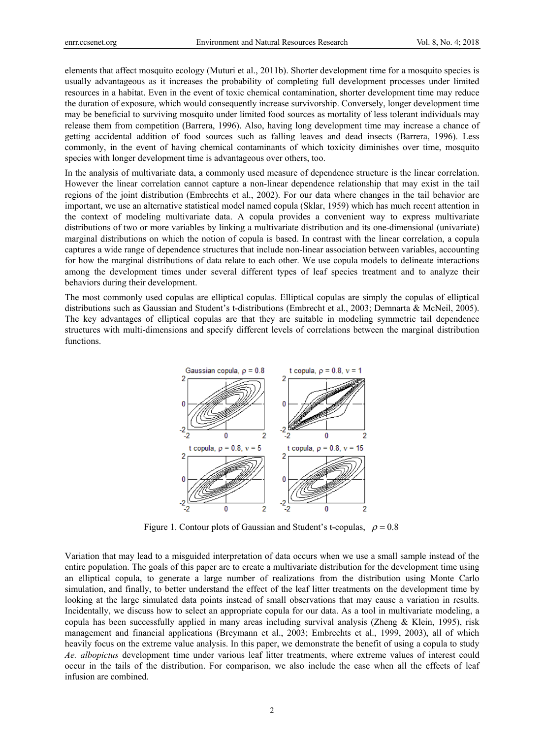elements that affect mosquito ecology (Muturi et al., 2011b). Shorter development time for a mosquito species is usually advantageous as it increases the probability of completing full development processes under limited resources in a habitat. Even in the event of toxic chemical contamination, shorter development time may reduce the duration of exposure, which would consequently increase survivorship. Conversely, longer development time may be beneficial to surviving mosquito under limited food sources as mortality of less tolerant individuals may release them from competition (Barrera, 1996). Also, having long development time may increase a chance of getting accidental addition of food sources such as falling leaves and dead insects (Barrera, 1996). Less commonly, in the event of having chemical contaminants of which toxicity diminishes over time, mosquito species with longer development time is advantageous over others, too.

In the analysis of multivariate data, a commonly used measure of dependence structure is the linear correlation. However the linear correlation cannot capture a non-linear dependence relationship that may exist in the tail regions of the joint distribution (Embrechts et al., 2002). For our data where changes in the tail behavior are important, we use an alternative statistical model named copula (Sklar, 1959) which has much recent attention in the context of modeling multivariate data. A copula provides a convenient way to express multivariate distributions of two or more variables by linking a multivariate distribution and its one-dimensional (univariate) marginal distributions on which the notion of copula is based. In contrast with the linear correlation, a copula captures a wide range of dependence structures that include non-linear association between variables, accounting for how the marginal distributions of data relate to each other. We use copula models to delineate interactions among the development times under several different types of leaf species treatment and to analyze their behaviors during their development.

The most commonly used copulas are elliptical copulas. Elliptical copulas are simply the copulas of elliptical distributions such as Gaussian and Student's t-distributions (Embrecht et al., 2003; Demnarta & McNeil, 2005). The key advantages of elliptical copulas are that they are suitable in modeling symmetric tail dependence structures with multi-dimensions and specify different levels of correlations between the marginal distribution functions.



Figure 1. Contour plots of Gaussian and Student's t-copulas,  $\rho = 0.8$ 

Variation that may lead to a misguided interpretation of data occurs when we use a small sample instead of the entire population. The goals of this paper are to create a multivariate distribution for the development time using an elliptical copula, to generate a large number of realizations from the distribution using Monte Carlo simulation, and finally, to better understand the effect of the leaf litter treatments on the development time by looking at the large simulated data points instead of small observations that may cause a variation in results. Incidentally, we discuss how to select an appropriate copula for our data. As a tool in multivariate modeling, a copula has been successfully applied in many areas including survival analysis (Zheng & Klein, 1995), risk management and financial applications (Breymann et al., 2003; Embrechts et al., 1999, 2003), all of which heavily focus on the extreme value analysis. In this paper, we demonstrate the benefit of using a copula to study *Ae. albopictus* development time under various leaf litter treatments, where extreme values of interest could occur in the tails of the distribution. For comparison, we also include the case when all the effects of leaf infusion are combined.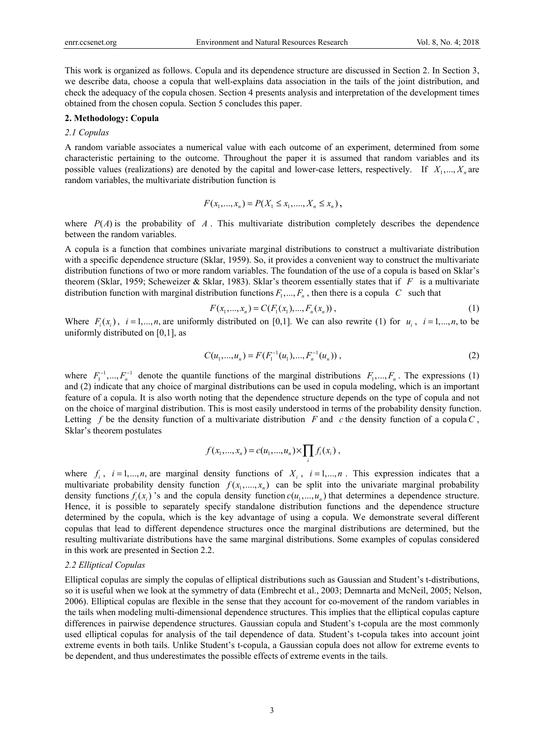This work is organized as follows. Copula and its dependence structure are discussed in Section 2. In Section 3, we describe data, choose a copula that well-explains data association in the tails of the joint distribution, and check the adequacy of the copula chosen. Section 4 presents analysis and interpretation of the development times obtained from the chosen copula. Section 5 concludes this paper.

#### **2. Methodology: Copula**

## *2.1 Copulas*

A random variable associates a numerical value with each outcome of an experiment, determined from some characteristic pertaining to the outcome. Throughout the paper it is assumed that random variables and its possible values (realizations) are denoted by the capital and lower-case letters, respectively. If  $X_1, \ldots, X_n$  are random variables, the multivariate distribution function is

$$
F(x_1, ..., x_n) = P(X_1 \le x_1, ..., X_n \le x_n),
$$

where  $P(A)$  is the probability of A. This multivariate distribution completely describes the dependence between the random variables.

A copula is a function that combines univariate marginal distributions to construct a multivariate distribution with a specific dependence structure (Sklar, 1959). So, it provides a convenient way to construct the multivariate distribution functions of two or more random variables. The foundation of the use of a copula is based on Sklar's theorem (Sklar, 1959; Scheweizer & Sklar, 1983). Sklar's theorem essentially states that if *F* is a multivariate distribution function with marginal distribution functions  $F_1, ..., F_n$ , then there is a copula *C* such that

$$
F(x_1,...,x_n) = C(F_1(x_1),...,F_n(x_n)),
$$
\n(1)

Where  $F_i(x_i)$ ,  $i = 1,...,n$ , are uniformly distributed on [0,1]. We can also rewrite (1) for  $u_i$ ,  $i = 1,...,n$ , to be uniformly distributed on  $[0,1]$ , as

$$
C(u_1,...,u_n) = F(F_1^{-1}(u_1),...,F_n^{-1}(u_n)),
$$
\n(2)

where  $F_1^{-1},..., F_n^{-1}$  denote the quantile functions of the marginal distributions  $F_1,..., F_n$ . The expressions (1) and (2) indicate that any choice of marginal distributions can be used in copula modeling, which is an important feature of a copula. It is also worth noting that the dependence structure depends on the type of copula and not on the choice of marginal distribution. This is most easily understood in terms of the probability density function. Letting *f* be the density function of a multivariate distribution *F* and *c* the density function of a copula *C*, Sklar's theorem postulates

$$
f(x_1,...,x_n) = c(u_1,...,u_n) \times \prod_i f_i(x_i) ,
$$

where  $f_i$ ,  $i = 1,...,n$ , are marginal density functions of  $X_i$ ,  $i = 1,...,n$ . This expression indicates that a multivariate probability density function  $f(x_1, \ldots, x_n)$  can be split into the univariate marginal probability density functions  $f_i(x_i)$  's and the copula density function  $c(u_1, ..., u_n)$  that determines a dependence structure. Hence, it is possible to separately specify standalone distribution functions and the dependence structure determined by the copula, which is the key advantage of using a copula. We demonstrate several different copulas that lead to different dependence structures once the marginal distributions are determined, but the resulting multivariate distributions have the same marginal distributions. Some examples of copulas considered in this work are presented in Section 2.2.

#### *2.2 Elliptical Copulas*

Elliptical copulas are simply the copulas of elliptical distributions such as Gaussian and Student's t-distributions, so it is useful when we look at the symmetry of data (Embrecht et al., 2003; Demnarta and McNeil, 2005; Nelson, 2006). Elliptical copulas are flexible in the sense that they account for co-movement of the random variables in the tails when modeling multi-dimensional dependence structures. This implies that the elliptical copulas capture differences in pairwise dependence structures. Gaussian copula and Student's t-copula are the most commonly used elliptical copulas for analysis of the tail dependence of data. Student's t-copula takes into account joint extreme events in both tails. Unlike Student's t-copula, a Gaussian copula does not allow for extreme events to be dependent, and thus underestimates the possible effects of extreme events in the tails.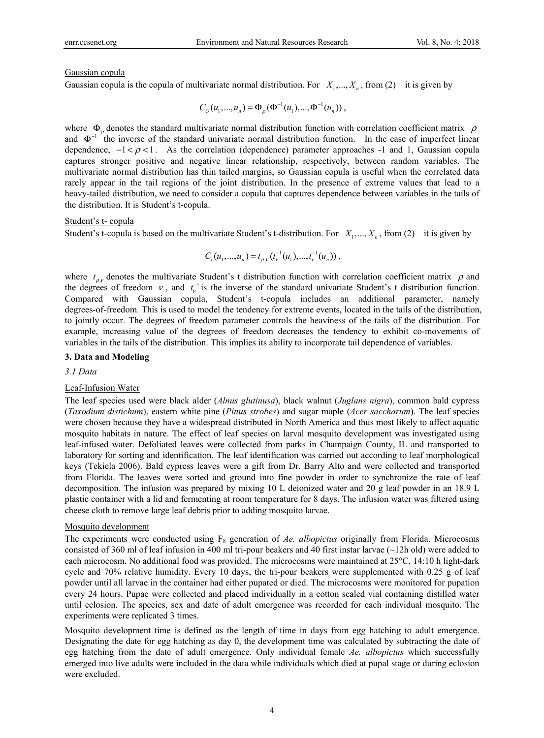#### Gaussian copula

Gaussian copula is the copula of multivariate normal distribution. For  $X_1, \ldots, X_n$ , from (2) it is given by

$$
C_G(u_1,...,u_n) = \Phi_{\rho}(\Phi^{-1}(u_1),...,\Phi^{-1}(u_n)),
$$

where  $\Phi_{\rho}$  denotes the standard multivariate normal distribution function with correlation coefficient matrix  $\rho$ and  $\Phi^{-1}$  the inverse of the standard univariate normal distribution function. In the case of imperfect linear dependence,  $-1 < \rho < 1$ . As the correlation (dependence) parameter approaches -1 and 1, Gaussian copula captures stronger positive and negative linear relationship, respectively, between random variables. The multivariate normal distribution has thin tailed margins, so Gaussian copula is useful when the correlated data rarely appear in the tail regions of the joint distribution. In the presence of extreme values that lead to a heavy-tailed distribution, we need to consider a copula that captures dependence between variables in the tails of the distribution. It is Student's t-copula.

#### Student's t- copula

Student's t-copula is based on the multivariate Student's t-distribution. For  $X_1, \ldots, X_n$ , from (2) it is given by

$$
C_{t}(u_{1},...,u_{n})=t_{\rho,\nu}(t_{\nu}^{-1}(u_{1}),...,t_{\nu}^{-1}(u_{n})),
$$

where  $t_{\rho,\nu}$  denotes the multivariate Student's t distribution function with correlation coefficient matrix  $\rho$  and the degrees of freedom  $v$ , and  $t_v^{-1}$  is the inverse of the standard univariate Student's t distribution function. Compared with Gaussian copula, Student's t-copula includes an additional parameter, namely degrees-of-freedom. This is used to model the tendency for extreme events, located in the tails of the distribution, to jointly occur. The degrees of freedom parameter controls the heaviness of the tails of the distribution. For example, increasing value of the degrees of freedom decreases the tendency to exhibit co-movements of variables in the tails of the distribution. This implies its ability to incorporate tail dependence of variables.

## **3. Data and Modeling**

*3.1 Data* 

#### Leaf-Infusion Water

The leaf species used were black alder (*Alnus glutinusa*), black walnut (*Juglans nigra*), common bald cypress (*Taxodium distichum*), eastern white pine (*Pinus strobes*) and sugar maple (*Acer saccharum*). The leaf species were chosen because they have a widespread distributed in North America and thus most likely to affect aquatic mosquito habitats in nature. The effect of leaf species on larval mosquito development was investigated using leaf-infused water. Defoliated leaves were collected from parks in Champaign County, IL and transported to laboratory for sorting and identification. The leaf identification was carried out according to leaf morphological keys (Tekiela 2006). Bald cypress leaves were a gift from Dr. Barry Alto and were collected and transported from Florida. The leaves were sorted and ground into fine powder in order to synchronize the rate of leaf decomposition. The infusion was prepared by mixing 10 L deionized water and 20 g leaf powder in an 18.9 L plastic container with a lid and fermenting at room temperature for 8 days. The infusion water was filtered using cheese cloth to remove large leaf debris prior to adding mosquito larvae.

#### Mosquito development

The experiments were conducted using F8 generation of *Ae. albopictus* originally from Florida. Microcosms consisted of 360 ml of leaf infusion in 400 ml tri-pour beakers and 40 first instar larvae (∼12h old) were added to each microcosm. No additional food was provided. The microcosms were maintained at 25°C, 14:10 h light-dark cycle and 70% relative humidity. Every 10 days, the tri-pour beakers were supplemented with 0.25 g of leaf powder until all larvae in the container had either pupated or died. The microcosms were monitored for pupation every 24 hours. Pupae were collected and placed individually in a cotton sealed vial containing distilled water until eclosion. The species, sex and date of adult emergence was recorded for each individual mosquito. The experiments were replicated 3 times.

Mosquito development time is defined as the length of time in days from egg hatching to adult emergence. Designating the date for egg hatching as day 0, the development time was calculated by subtracting the date of egg hatching from the date of adult emergence. Only individual female *Ae. albopictus* which successfully emerged into live adults were included in the data while individuals which died at pupal stage or during eclosion were excluded.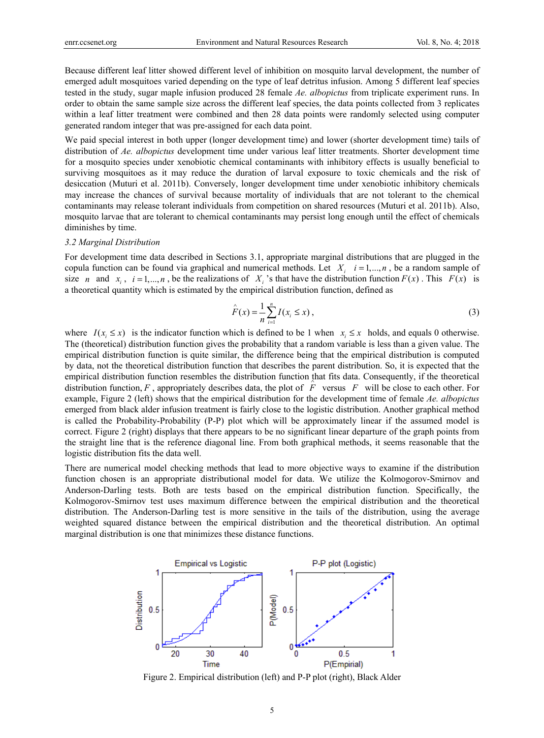Because different leaf litter showed different level of inhibition on mosquito larval development, the number of emerged adult mosquitoes varied depending on the type of leaf detritus infusion. Among 5 different leaf species tested in the study, sugar maple infusion produced 28 female *Ae. albopictus* from triplicate experiment runs. In order to obtain the same sample size across the different leaf species, the data points collected from 3 replicates within a leaf litter treatment were combined and then 28 data points were randomly selected using computer generated random integer that was pre-assigned for each data point.

We paid special interest in both upper (longer development time) and lower (shorter development time) tails of distribution of *Ae. albopictus* development time under various leaf litter treatments. Shorter development time for a mosquito species under xenobiotic chemical contaminants with inhibitory effects is usually beneficial to surviving mosquitoes as it may reduce the duration of larval exposure to toxic chemicals and the risk of desiccation (Muturi et al. 2011b). Conversely, longer development time under xenobiotic inhibitory chemicals may increase the chances of survival because mortality of individuals that are not tolerant to the chemical contaminants may release tolerant individuals from competition on shared resources (Muturi et al. 2011b). Also, mosquito larvae that are tolerant to chemical contaminants may persist long enough until the effect of chemicals diminishes by time.

## *3.2 Marginal Distribution*

For development time data described in Sections 3.1, appropriate marginal distributions that are plugged in the copula function can be found via graphical and numerical methods. Let  $X_i$   $i = 1,...,n$ , be a random sample of size *n* and  $x_i$ ,  $i = 1,...,n$ , be the realizations of  $X_i$ 's that have the distribution function  $F(x)$ . This  $F(x)$  is a theoretical quantity which is estimated by the empirical distribution function, defined as

$$
\hat{F}(x) = \frac{1}{n} \sum_{i=1}^{n} I(x_i \le x),
$$
\n(3)

where  $I(x_i \leq x)$  is the indicator function which is defined to be 1 when  $x_i \leq x$  holds, and equals 0 otherwise. The (theoretical) distribution function gives the probability that a random variable is less than a given value. The empirical distribution function is quite similar, the difference being that the empirical distribution is computed by data, not the theoretical distribution function that describes the parent distribution. So, it is expected that the empirical distribution function resembles the distribution function that fits data. Consequently, if the theoretical distribution function,  $F$ , appropriately describes data, the plot of  $F$  versus  $F$  will be close to each other. For example, Figure 2 (left) shows that the empirical distribution for the development time of female *Ae. albopictus* emerged from black alder infusion treatment is fairly close to the logistic distribution. Another graphical method is called the Probability-Probability (P-P) plot which will be approximately linear if the assumed model is correct. Figure 2 (right) displays that there appears to be no significant linear departure of the graph points from the straight line that is the reference diagonal line. From both graphical methods, it seems reasonable that the logistic distribution fits the data well.

There are numerical model checking methods that lead to more objective ways to examine if the distribution function chosen is an appropriate distributional model for data. We utilize the Kolmogorov-Smirnov and Anderson-Darling tests. Both are tests based on the empirical distribution function. Specifically, the Kolmogorov-Smirnov test uses maximum difference between the empirical distribution and the theoretical distribution. The Anderson-Darling test is more sensitive in the tails of the distribution, using the average weighted squared distance between the empirical distribution and the theoretical distribution. An optimal marginal distribution is one that minimizes these distance functions.



Figure 2. Empirical distribution (left) and P-P plot (right), Black Alder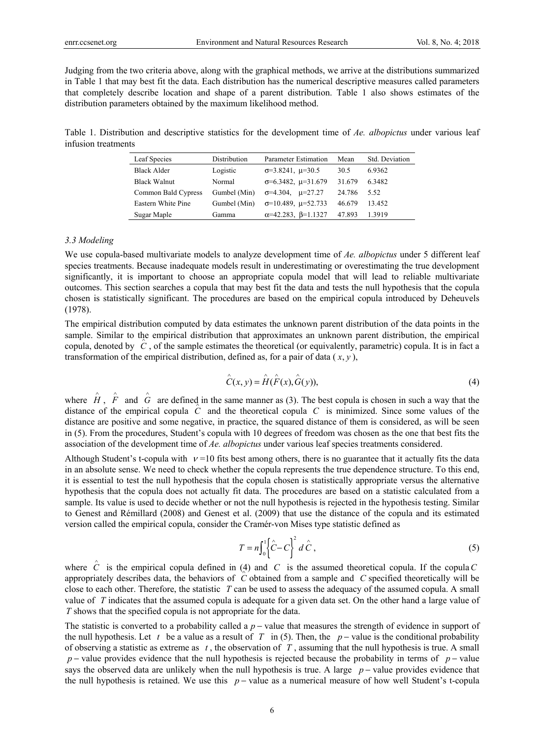Judging from the two criteria above, along with the graphical methods, we arrive at the distributions summarized in Table 1 that may best fit the data. Each distribution has the numerical descriptive measures called parameters that completely describe location and shape of a parent distribution. Table 1 also shows estimates of the distribution parameters obtained by the maximum likelihood method.

Table 1. Distribution and descriptive statistics for the development time of *Ae. albopictus* under various leaf infusion treatments

| Leaf Species        | Distribution | <b>Parameter Estimation</b>       | Mean   | Std. Deviation |
|---------------------|--------------|-----------------------------------|--------|----------------|
| <b>Black Alder</b>  | Logistic     | $\sigma = 3.8241$ , $\mu = 30.5$  | 30.5   | 6.9362         |
| <b>Black Walnut</b> | Normal       | $\sigma$ =6.3482, $\mu$ =31.679   | 31.679 | 6.3482         |
| Common Bald Cypress | Gumbel (Min) | $\sigma$ =4.304, $\mu$ =27.27     | 24.786 | 5.52           |
| Eastern White Pine  | Gumbel (Min) | $\sigma$ =10.489, $\mu$ =52.733   | 46.679 | 13.452         |
| Sugar Maple         | Gamma        | $\alpha$ =42.283, $\beta$ =1.1327 | 47.893 | 1.3919         |

#### *3.3 Modeling*

We use copula-based multivariate models to analyze development time of *Ae. albopictus* under 5 different leaf species treatments. Because inadequate models result in underestimating or overestimating the true development significantly, it is important to choose an appropriate copula model that will lead to reliable multivariate outcomes. This section searches a copula that may best fit the data and tests the null hypothesis that the copula chosen is statistically significant. The procedures are based on the empirical copula introduced by Deheuvels (1978).

The empirical distribution computed by data estimates the unknown parent distribution of the data points in the sample. Similar to the empirical distribution that approximates an unknown parent distribution, the empirical copula, denoted by *C* , of the sample estimates the theoretical (or equivalently, parametric) copula. It is in fact a transformation of the empirical distribution, defined as, for a pair of data  $(x, y)$ ,

$$
\hat{C}(x, y) = \hat{H}(\hat{F}(x), \hat{G}(y)),\tag{4}
$$

where  $\hat{H}$ ,  $\hat{F}$  and  $\hat{G}$  are defined in the same manner as (3). The best copula is chosen in such a way that the distance of the empirical copula *C* and the theoretical copula *C* is minimized. Since some values of the distance are positive and some negative, in practice, the squared distance of them is considered, as will be seen in (5). From the procedures, Student's copula with 10 degrees of freedom was chosen as the one that best fits the association of the development time of *Ae. albopictus* under various leaf species treatments considered.

Although Student's t-copula with  $v = 10$  fits best among others, there is no guarantee that it actually fits the data in an absolute sense. We need to check whether the copula represents the true dependence structure. To this end, it is essential to test the null hypothesis that the copula chosen is statistically appropriate versus the alternative hypothesis that the copula does not actually fit data. The procedures are based on a statistic calculated from a sample. Its value is used to decide whether or not the null hypothesis is rejected in the hypothesis testing. Similar to Genest and Rémillard (2008) and Genest et al. (2009) that use the distance of the copula and its estimated version called the empirical copula, consider the Cramér-von Mises type statistic defined as

$$
T = n \int_0^1 \left\{ \hat{C} - C \right\}^2 d\hat{C}, \qquad (5)
$$

where  $\hat{C}$  is the empirical copula defined in (4) and *C* is the assumed theoretical copula. If the copula *C* appropriately describes data, the behaviors of *C* obtained from a sample and *C* specified theoretically will be close to each other. Therefore, the statistic *T* can be used to assess the adequacy of the assumed copula. A small value of *T* indicates that the assumed copula is adequate for a given data set. On the other hand a large value of *T* shows that the specified copula is not appropriate for the data.

The statistic is converted to a probability called a *p* − value that measures the strength of evidence in support of the null hypothesis. Let *t* be a value as a result of *T* in (5). Then, the *p* − value is the conditional probability of observing a statistic as extreme as *t* , the observation of *T* , assuming that the null hypothesis is true. A small *p* − value provides evidence that the null hypothesis is rejected because the probability in terms of *p* − value says the observed data are unlikely when the null hypothesis is true. A large *p* − value provides evidence that the null hypothesis is retained. We use this *p* − value as a numerical measure of how well Student's t-copula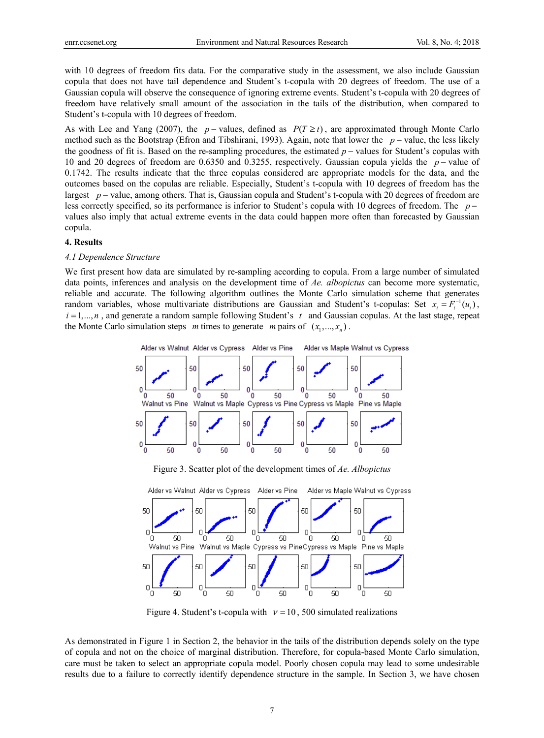with 10 degrees of freedom fits data. For the comparative study in the assessment, we also include Gaussian copula that does not have tail dependence and Student's t-copula with 20 degrees of freedom. The use of a Gaussian copula will observe the consequence of ignoring extreme events. Student's t-copula with 20 degrees of freedom have relatively small amount of the association in the tails of the distribution, when compared to Student's t-copula with 10 degrees of freedom.

As with Lee and Yang (2007), the *p* − values, defined as  $P(T \ge t)$ , are approximated through Monte Carlo method such as the Bootstrap (Efron and Tibshirani, 1993). Again, note that lower the *p* − value, the less likely the goodness of fit is. Based on the re-sampling procedures, the estimated *p* − values for Student's copulas with 10 and 20 degrees of freedom are 0.6350 and 0.3255, respectively. Gaussian copula yields the *p* − value of 0.1742. The results indicate that the three copulas considered are appropriate models for the data, and the outcomes based on the copulas are reliable. Especially, Student's t-copula with 10 degrees of freedom has the largest *p* − value, among others. That is, Gaussian copula and Student's t-copula with 20 degrees of freedom are less correctly specified, so its performance is inferior to Student's copula with 10 degrees of freedom. The *p* − values also imply that actual extreme events in the data could happen more often than forecasted by Gaussian copula.

#### **4. Results**

#### *4.1 Dependence Structure*

We first present how data are simulated by re-sampling according to copula. From a large number of simulated data points, inferences and analysis on the development time of *Ae. albopictus* can become more systematic, reliable and accurate. The following algorithm outlines the Monte Carlo simulation scheme that generates random variables, whose multivariate distributions are Gaussian and Student's t-copulas: Set  $x_i = F_i^{-1}(u_i)$ ,  $i = 1,...,n$ , and generate a random sample following Student's  $t$  and Gaussian copulas. At the last stage, repeat the Monte Carlo simulation steps *m* times to generate *m* pairs of  $(x_1, ..., x_n)$ .



Figure 3. Scatter plot of the development times of *Ae. Albopictus*



Figure 4. Student's t-copula with  $v = 10$ , 500 simulated realizations

As demonstrated in Figure 1 in Section 2, the behavior in the tails of the distribution depends solely on the type of copula and not on the choice of marginal distribution. Therefore, for copula-based Monte Carlo simulation, care must be taken to select an appropriate copula model. Poorly chosen copula may lead to some undesirable results due to a failure to correctly identify dependence structure in the sample. In Section 3, we have chosen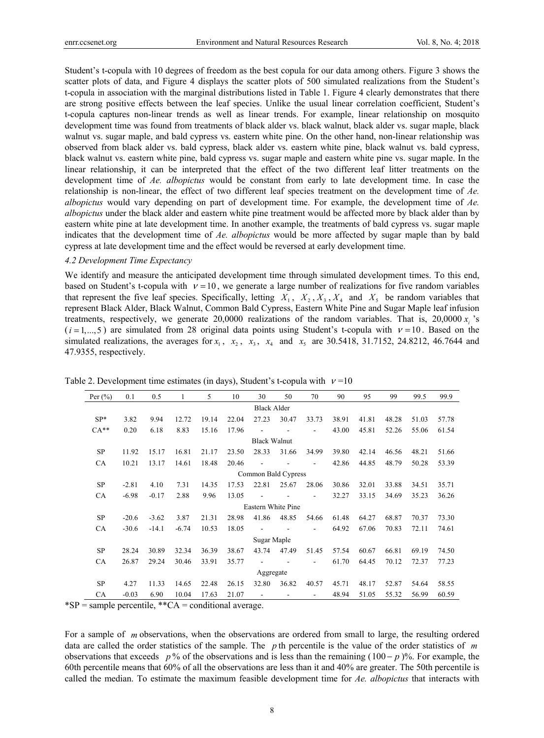Student's t-copula with 10 degrees of freedom as the best copula for our data among others. Figure 3 shows the scatter plots of data, and Figure 4 displays the scatter plots of 500 simulated realizations from the Student's t-copula in association with the marginal distributions listed in Table 1. Figure 4 clearly demonstrates that there are strong positive effects between the leaf species. Unlike the usual linear correlation coefficient, Student's t-copula captures non-linear trends as well as linear trends. For example, linear relationship on mosquito development time was found from treatments of black alder vs. black walnut, black alder vs. sugar maple, black walnut vs. sugar maple, and bald cypress vs. eastern white pine. On the other hand, non-linear relationship was observed from black alder vs. bald cypress, black alder vs. eastern white pine, black walnut vs. bald cypress, black walnut vs. eastern white pine, bald cypress vs. sugar maple and eastern white pine vs. sugar maple. In the linear relationship, it can be interpreted that the effect of the two different leaf litter treatments on the development time of *Ae. albopictus* would be constant from early to late development time. In case the relationship is non-linear, the effect of two different leaf species treatment on the development time of *Ae. albopictus* would vary depending on part of development time. For example, the development time of *Ae. albopictus* under the black alder and eastern white pine treatment would be affected more by black alder than by eastern white pine at late development time. In another example, the treatments of bald cypress vs. sugar maple indicates that the development time of *Ae. albopictus* would be more affected by sugar maple than by bald cypress at late development time and the effect would be reversed at early development time.

## *4.2 Development Time Expectancy*

We identify and measure the anticipated development time through simulated development times. To this end, based on Student's t-copula with  $v = 10$ , we generate a large number of realizations for five random variables that represent the five leaf species. Specifically, letting  $X_1, X_2, X_3, X_4$  and  $X_5$  be random variables that represent Black Alder, Black Walnut, Common Bald Cypress, Eastern White Pine and Sugar Maple leaf infusion treatments, respectively, we generate 20,0000 realizations of the random variables. That is,  $20,0000 x$  is  $(i=1,...,5)$  are simulated from 28 original data points using Student's t-copula with  $v=10$ . Based on the simulated realizations, the averages for  $x_1$ ,  $x_2$ ,  $x_3$ ,  $x_4$  and  $x_5$  are 30.5418, 31.7152, 24.8212, 46.7644 and 47.9355, respectively.

| Per $(\% )$ | 0.1     | 0.5     | 1       | 5     | 10    | 30                  | 50    | 70                       | 90    | 95    | 99    | 99.5  | 99.9  |
|-------------|---------|---------|---------|-------|-------|---------------------|-------|--------------------------|-------|-------|-------|-------|-------|
|             |         |         |         |       |       | <b>Black Alder</b>  |       |                          |       |       |       |       |       |
| $SP*$       | 3.82    | 9.94    | 12.72   | 19.14 | 22.04 | 27.23               | 30.47 | 33.73                    | 38.91 | 41.81 | 48.28 | 51.03 | 57.78 |
| $CA**$      | 0.20    | 6.18    | 8.83    | 15.16 | 17.96 |                     |       |                          | 43.00 | 45.81 | 52.26 | 55.06 | 61.54 |
|             |         |         |         |       |       | <b>Black Walnut</b> |       |                          |       |       |       |       |       |
| <b>SP</b>   | 11.92   | 15.17   | 16.81   | 21.17 | 23.50 | 28.33               | 31.66 | 34.99                    | 39.80 | 42.14 | 46.56 | 48.21 | 51.66 |
| CA          | 10.21   | 13.17   | 14.61   | 18.48 | 20.46 |                     |       | $\overline{\phantom{a}}$ | 42.86 | 44.85 | 48.79 | 50.28 | 53.39 |
|             |         |         |         |       |       | Common Bald Cypress |       |                          |       |       |       |       |       |
| <b>SP</b>   | $-2.81$ | 4.10    | 7.31    | 14.35 | 17.53 | 22.81               | 25.67 | 28.06                    | 30.86 | 32.01 | 33.88 | 34.51 | 35.71 |
| <b>CA</b>   | $-6.98$ | $-0.17$ | 2.88    | 9.96  | 13.05 |                     |       |                          | 32.27 | 33.15 | 34.69 | 35.23 | 36.26 |
|             |         |         |         |       |       | Eastern White Pine  |       |                          |       |       |       |       |       |
| SP          | $-20.6$ | $-3.62$ | 3.87    | 21.31 | 28.98 | 41.86               | 48.85 | 54.66                    | 61.48 | 64.27 | 68.87 | 70.37 | 73.30 |
| <b>CA</b>   | $-30.6$ | $-14.1$ | $-6.74$ | 10.53 | 18.05 |                     |       | ٠                        | 64.92 | 67.06 | 70.83 | 72.11 | 74.61 |
|             |         |         |         |       |       | Sugar Maple         |       |                          |       |       |       |       |       |
| SP          | 28.24   | 30.89   | 32.34   | 36.39 | 38.67 | 43.74               | 47.49 | 51.45                    | 57.54 | 60.67 | 66.81 | 69.19 | 74.50 |
| <b>CA</b>   | 26.87   | 29.24   | 30.46   | 33.91 | 35.77 |                     |       |                          | 61.70 | 64.45 | 70.12 | 72.37 | 77.23 |
|             |         |         |         |       |       | Aggregate           |       |                          |       |       |       |       |       |
| SP          | 4.27    | 11.33   | 14.65   | 22.48 | 26.15 | 32.80               | 36.82 | 40.57                    | 45.71 | 48.17 | 52.87 | 54.64 | 58.55 |
| <b>CA</b>   | $-0.03$ | 6.90    | 10.04   | 17.63 | 21.07 |                     |       |                          | 48.94 | 51.05 | 55.32 | 56.99 | 60.59 |

Table 2. Development time estimates (in days), Student's t-copula with  $v = 10$ 

 $*SP =$  sample percentile,  $*<sup>*</sup>CA =$  conditional average.

For a sample of *m* observations, when the observations are ordered from small to large, the resulting ordered data are called the order statistics of the sample. The *p* th percentile is the value of the order statistics of *m* observations that exceeds *p* % of the observations and is less than the remaining (100 − *p*)%. For example, the 60th percentile means that 60% of all the observations are less than it and 40% are greater. The 50th percentile is called the median. To estimate the maximum feasible development time for *Ae. albopictus* that interacts with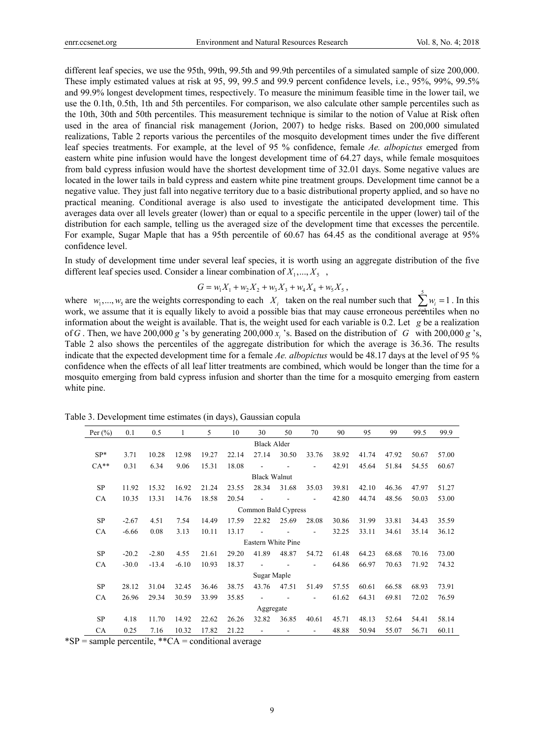different leaf species, we use the 95th, 99th, 99.5th and 99.9th percentiles of a simulated sample of size 200,000. These imply estimated values at risk at 95, 99, 99.5 and 99.9 percent confidence levels, i.e., 95%, 99%, 99.5% and 99.9% longest development times, respectively. To measure the minimum feasible time in the lower tail, we use the 0.1th, 0.5th, 1th and 5th percentiles. For comparison, we also calculate other sample percentiles such as the 10th, 30th and 50th percentiles. This measurement technique is similar to the notion of Value at Risk often used in the area of financial risk management (Jorion, 2007) to hedge risks. Based on 200,000 simulated realizations, Table 2 reports various the percentiles of the mosquito development times under the five different leaf species treatments. For example, at the level of 95 % confidence, female *Ae. albopictus* emerged from eastern white pine infusion would have the longest development time of 64.27 days, while female mosquitoes from bald cypress infusion would have the shortest development time of 32.01 days. Some negative values are located in the lower tails in bald cypress and eastern white pine treatment groups. Development time cannot be a negative value. They just fall into negative territory due to a basic distributional property applied, and so have no practical meaning. Conditional average is also used to investigate the anticipated development time. This averages data over all levels greater (lower) than or equal to a specific percentile in the upper (lower) tail of the distribution for each sample, telling us the averaged size of the development time that excesses the percentile. For example, Sugar Maple that has a 95th percentile of 60.67 has 64.45 as the conditional average at 95% confidence level.

In study of development time under several leaf species, it is worth using an aggregate distribution of the five different leaf species used. Consider a linear combination of  $X_1, \ldots, X_5$ ,

$$
G = w_1 X_1 + w_2 X_2 + w_3 X_3 + w_4 X_4 + w_5 X_5,
$$

where  $w_1, ..., w_s$  are the weights corresponding to each  $X_i$  taken on the real number such that  $\sum_{i=1}^{5} w_i = 1$ . In this work, we assume that it is equally likely to avoid a possible bias that may cause erroneous percentiles when no information about the weight is available. That is, the weight used for each variable is 0.2. Let *g* be a realization of *G* . Then, we have 200,000 *g* 's by generating 200,000  $x_i$  's. Based on the distribution of *G* with 200,000 *g* 's, Table 2 also shows the percentiles of the aggregate distribution for which the average is 36.36. The results indicate that the expected development time for a female *Ae. albopictus* would be 48.17 days at the level of 95 % confidence when the effects of all leaf litter treatments are combined, which would be longer than the time for a mosquito emerging from bald cypress infusion and shorter than the time for a mosquito emerging from eastern white pine.

| Per $(\% )$        | 0.1                 | 0.5     | 1       | 5     | 10    | 30                 | 50    | 70    | 90    | 95    | 99    | 99.5  | 99.9  |
|--------------------|---------------------|---------|---------|-------|-------|--------------------|-------|-------|-------|-------|-------|-------|-------|
| <b>Black Alder</b> |                     |         |         |       |       |                    |       |       |       |       |       |       |       |
| $SP*$              | 3.71                | 10.28   | 12.98   | 19.27 | 22.14 | 27.14              | 30.50 | 33.76 | 38.92 | 41.74 | 47.92 | 50.67 | 57.00 |
| $CA**$             | 0.31                | 6.34    | 9.06    | 15.31 | 18.08 |                    |       |       | 42.91 | 45.64 | 51.84 | 54.55 | 60.67 |
|                    | <b>Black Walnut</b> |         |         |       |       |                    |       |       |       |       |       |       |       |
| <b>SP</b>          | 11.92               | 15.32   | 16.92   | 21.24 | 23.55 | 28.34              | 31.68 | 35.03 | 39.81 | 42.10 | 46.36 | 47.97 | 51.27 |
| CA                 | 10.35               | 13.31   | 14.76   | 18.58 | 20.54 |                    |       |       | 42.80 | 44.74 | 48.56 | 50.03 | 53.00 |
|                    | Common Bald Cypress |         |         |       |       |                    |       |       |       |       |       |       |       |
| SP                 | $-2.67$             | 4.51    | 7.54    | 14.49 | 17.59 | 22.82              | 25.69 | 28.08 | 30.86 | 31.99 | 33.81 | 34.43 | 35.59 |
| <b>CA</b>          | $-6.66$             | 0.08    | 3.13    | 10.11 | 13.17 |                    |       |       | 32.25 | 33.11 | 34.61 | 35.14 | 36.12 |
|                    |                     |         |         |       |       | Eastern White Pine |       |       |       |       |       |       |       |
| <b>SP</b>          | $-20.2$             | $-2.80$ | 4.55    | 21.61 | 29.20 | 41.89              | 48.87 | 54.72 | 61.48 | 64.23 | 68.68 | 70.16 | 73.00 |
| CA                 | $-30.0$             | $-13.4$ | $-6.10$ | 10.93 | 18.37 |                    |       |       | 64.86 | 66.97 | 70.63 | 71.92 | 74.32 |
|                    |                     |         |         |       |       | Sugar Maple        |       |       |       |       |       |       |       |
| <b>SP</b>          | 28.12               | 31.04   | 32.45   | 36.46 | 38.75 | 43.76              | 47.51 | 51.49 | 57.55 | 60.61 | 66.58 | 68.93 | 73.91 |
| <b>CA</b>          | 26.96               | 29.34   | 30.59   | 33.99 | 35.85 |                    |       | ۰     | 61.62 | 64.31 | 69.81 | 72.02 | 76.59 |
|                    |                     |         |         |       |       | Aggregate          |       |       |       |       |       |       |       |
| <b>SP</b>          | 4.18                | 11.70   | 14.92   | 22.62 | 26.26 | 32.82              | 36.85 | 40.61 | 45.71 | 48.13 | 52.64 | 54.41 | 58.14 |
| <b>CA</b>          | 0.25                | 7.16    | 10.32   | 17.82 | 21.22 |                    |       |       | 48.88 | 50.94 | 55.07 | 56.71 | 60.11 |

Table 3. Development time estimates (in days), Gaussian copula

 $*SP =$  sample percentile,  $*<sup>*</sup>CA =$  conditional average

9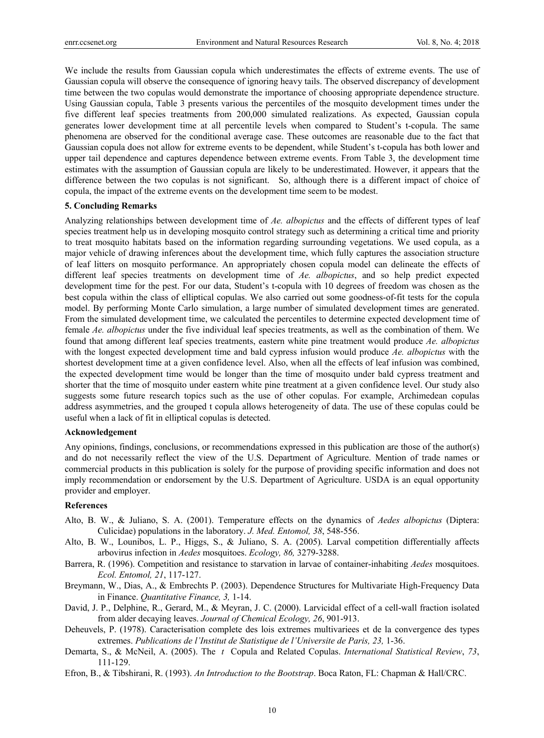We include the results from Gaussian copula which underestimates the effects of extreme events. The use of Gaussian copula will observe the consequence of ignoring heavy tails. The observed discrepancy of development time between the two copulas would demonstrate the importance of choosing appropriate dependence structure. Using Gaussian copula, Table 3 presents various the percentiles of the mosquito development times under the five different leaf species treatments from 200,000 simulated realizations. As expected, Gaussian copula generates lower development time at all percentile levels when compared to Student's t-copula. The same phenomena are observed for the conditional average case. These outcomes are reasonable due to the fact that Gaussian copula does not allow for extreme events to be dependent, while Student's t-copula has both lower and upper tail dependence and captures dependence between extreme events. From Table 3, the development time estimates with the assumption of Gaussian copula are likely to be underestimated. However, it appears that the difference between the two copulas is not significant. So, although there is a different impact of choice of copula, the impact of the extreme events on the development time seem to be modest.

## **5. Concluding Remarks**

Analyzing relationships between development time of *Ae. albopictus* and the effects of different types of leaf species treatment help us in developing mosquito control strategy such as determining a critical time and priority to treat mosquito habitats based on the information regarding surrounding vegetations. We used copula, as a major vehicle of drawing inferences about the development time, which fully captures the association structure of leaf litters on mosquito performance. An appropriately chosen copula model can delineate the effects of different leaf species treatments on development time of *Ae. albopictus*, and so help predict expected development time for the pest. For our data, Student's t-copula with 10 degrees of freedom was chosen as the best copula within the class of elliptical copulas. We also carried out some goodness-of-fit tests for the copula model. By performing Monte Carlo simulation, a large number of simulated development times are generated. From the simulated development time, we calculated the percentiles to determine expected development time of female *Ae. albopictus* under the five individual leaf species treatments, as well as the combination of them. We found that among different leaf species treatments, eastern white pine treatment would produce *Ae. albopictus* with the longest expected development time and bald cypress infusion would produce *Ae. albopictus* with the shortest development time at a given confidence level. Also, when all the effects of leaf infusion was combined, the expected development time would be longer than the time of mosquito under bald cypress treatment and shorter that the time of mosquito under eastern white pine treatment at a given confidence level. Our study also suggests some future research topics such as the use of other copulas. For example, Archimedean copulas address asymmetries, and the grouped t copula allows heterogeneity of data. The use of these copulas could be useful when a lack of fit in elliptical copulas is detected.

#### **Acknowledgement**

Any opinions, findings, conclusions, or recommendations expressed in this publication are those of the author(s) and do not necessarily reflect the view of the U.S. Department of Agriculture. Mention of trade names or commercial products in this publication is solely for the purpose of providing specific information and does not imply recommendation or endorsement by the U.S. Department of Agriculture. USDA is an equal opportunity provider and employer.

## **References**

- Alto, B. W., & Juliano, S. A. (2001). Temperature effects on the dynamics of *Aedes albopictus* (Diptera: Culicidae) populations in the laboratory. *J. Med. Entomol, 38*, 548-556.
- Alto, B. W., Lounibos, L. P., Higgs, S., & Juliano, S. A. (2005). Larval competition differentially affects arbovirus infection in *Aedes* mosquitoes. *Ecology, 86,* 3279-3288.
- Barrera, R. (1996). Competition and resistance to starvation in larvae of container-inhabiting *Aedes* mosquitoes. *Ecol. Entomol, 21*, 117-127.
- Breymann, W., Dias, A., & Embrechts P. (2003). Dependence Structures for Multivariate High-Frequency Data in Finance. *Quantitative Finance, 3,* 1-14.
- David, J. P., Delphine, R., Gerard, M., & Meyran, J. C. (2000). Larvicidal effect of a cell-wall fraction isolated from alder decaying leaves. *Journal of Chemical Ecology, 26*, 901-913.
- Deheuvels, P. (1978). Caracterisation complete des lois extremes multivariees et de la convergence des types extremes. *Publications de l'Institut de Statistique de l'Universite de Paris, 23,* 1-36.
- Demarta, S., & McNeil, A. (2005). The *t* Copula and Related Copulas. *International Statistical Review*, *73*, 111-129.
- Efron, B., & Tibshirani, R. (1993). *An Introduction to the Bootstrap*. Boca Raton, FL: Chapman & Hall/CRC.